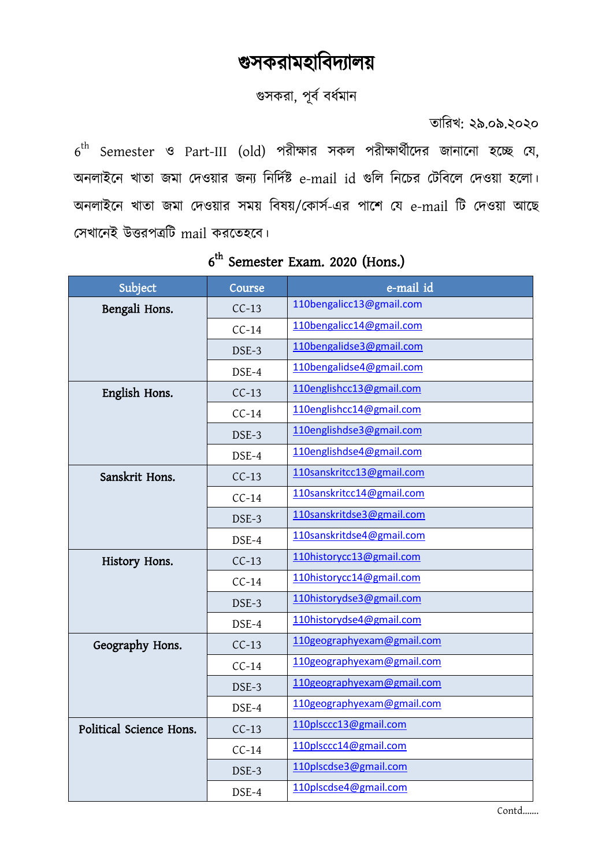## গুসকরামহাবিদ্যালয়

গুসকরা, পূর্ব বর্ধমান

তাবরখ: ২৯.০৯.২০২০

 $6^{\text{th}}$  Semester ও Part-III (old) পরীক্ষার সকল পরীক্ষার্থীদের জানানো হচ্ছে যে, অনলাইনে খাতা জমা দেওয়ার জন্য নির্দিষ্ট e-mail id গুলি নিচের টেবিলে দেওয়া হলো। অনলাইনে খাতা জমা দেওয়ার সময় বিষয়/কোর্স-এর পাশে যে e-mail টি দেওয়া আছে সেখানেই উত্তরপত্রটি mail করতেহবে।

| Subject                 | Course  | e-mail id                  |
|-------------------------|---------|----------------------------|
| Bengali Hons.           | $CC-13$ | 110bengalicc13@gmail.com   |
|                         | $CC-14$ | 110bengalicc14@gmail.com   |
|                         | DSE-3   | 110bengalidse3@gmail.com   |
|                         | DSE-4   | 110bengalidse4@gmail.com   |
| English Hons.           | $CC-13$ | 110englishcc13@gmail.com   |
|                         | $CC-14$ | 110englishcc14@gmail.com   |
|                         | DSE-3   | 110englishdse3@gmail.com   |
|                         | DSE-4   | 110englishdse4@gmail.com   |
| Sanskrit Hons.          | $CC-13$ | 110sanskritcc13@gmail.com  |
|                         | $CC-14$ | 110sanskritcc14@gmail.com  |
|                         | DSE-3   | 110sanskritdse3@gmail.com  |
|                         | DSE-4   | 110sanskritdse4@gmail.com  |
| History Hons.           | $CC-13$ | 110historycc13@gmail.com   |
|                         | $CC-14$ | 110historycc14@gmail.com   |
|                         | DSE-3   | 110historydse3@gmail.com   |
|                         | DSE-4   | 110historydse4@gmail.com   |
| Geography Hons.         | $CC-13$ | 110geographyexam@gmail.com |
|                         | $CC-14$ | 110geographyexam@gmail.com |
|                         | DSE-3   | 110geographyexam@gmail.com |
|                         | DSE-4   | 110geographyexam@gmail.com |
| Political Science Hons. | $CC-13$ | 110plsccc13@gmail.com      |
|                         | $CC-14$ | 110plsccc14@gmail.com      |
|                         | DSE-3   | 110plscdse3@gmail.com      |
|                         | DSE-4   | 110plscdse4@gmail.com      |

## 6<sup>th</sup> Semester Exam. 2020 (Hons.)

Contd…….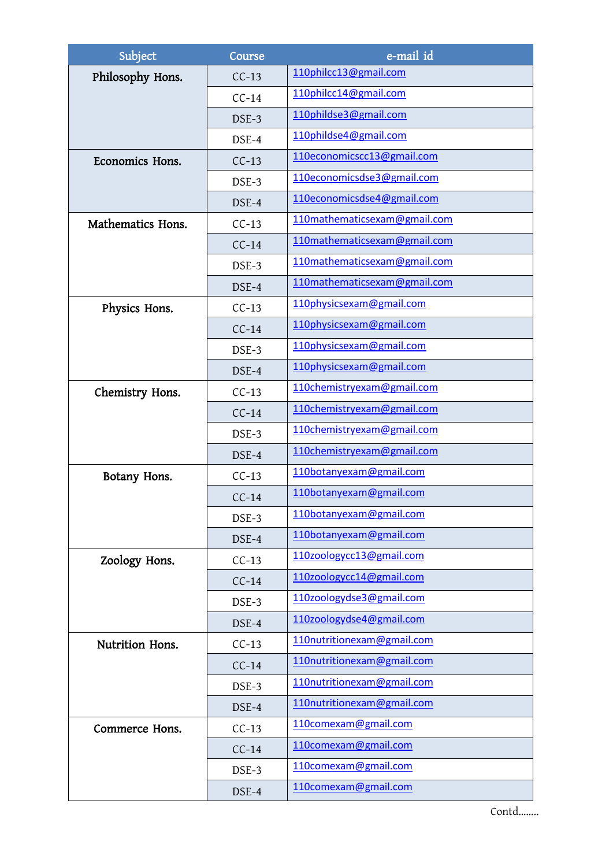| Subject           | Course  | e-mail id                    |
|-------------------|---------|------------------------------|
| Philosophy Hons.  | $CC-13$ | 110philcc13@gmail.com        |
|                   | $CC-14$ | 110philcc14@gmail.com        |
|                   | DSE-3   | 110phildse3@gmail.com        |
|                   | DSE-4   | 110phildse4@gmail.com        |
| Economics Hons.   | $CC-13$ | 110economicscc13@gmail.com   |
|                   | DSE-3   | 110economicsdse3@gmail.com   |
|                   | DSE-4   | 110economicsdse4@gmail.com   |
| Mathematics Hons. | $CC-13$ | 110mathematicsexam@gmail.com |
|                   | $CC-14$ | 110mathematicsexam@gmail.com |
|                   | DSE-3   | 110mathematicsexam@gmail.com |
|                   | DSE-4   | 110mathematicsexam@gmail.com |
| Physics Hons.     | $CC-13$ | 110physicsexam@gmail.com     |
|                   | $CC-14$ | 110physicsexam@gmail.com     |
|                   | DSE-3   | 110physicsexam@gmail.com     |
|                   | DSE-4   | 110physicsexam@gmail.com     |
| Chemistry Hons.   | $CC-13$ | 110chemistryexam@gmail.com   |
|                   | $CC-14$ | 110chemistryexam@gmail.com   |
|                   | DSE-3   | 110chemistryexam@gmail.com   |
|                   | DSE-4   | 110chemistryexam@gmail.com   |
| Botany Hons.      | $CC-13$ | 110botanyexam@gmail.com      |
|                   | $CC-14$ | 110botanyexam@gmail.com      |
|                   | DSE-3   | 110botanyexam@gmail.com      |
|                   | DSE-4   | 110botanyexam@gmail.com      |
| Zoology Hons.     | $CC-13$ | 110zoologycc13@gmail.com     |
|                   | $CC-14$ | 110zoologycc14@gmail.com     |
|                   | DSE-3   | 110zoologydse3@gmail.com     |
|                   | DSE-4   | 110zoologydse4@gmail.com     |
| Nutrition Hons.   | $CC-13$ | 110nutritionexam@gmail.com   |
|                   | $CC-14$ | 110nutritionexam@gmail.com   |
|                   | DSE-3   | 110nutritionexam@gmail.com   |
|                   | DSE-4   | 110nutritionexam@gmail.com   |
| Commerce Hons.    | $CC-13$ | 110comexam@gmail.com         |
|                   | $CC-14$ | 110comexam@gmail.com         |
|                   | DSE-3   | 110comexam@gmail.com         |
|                   | DSE-4   | 110comexam@gmail.com         |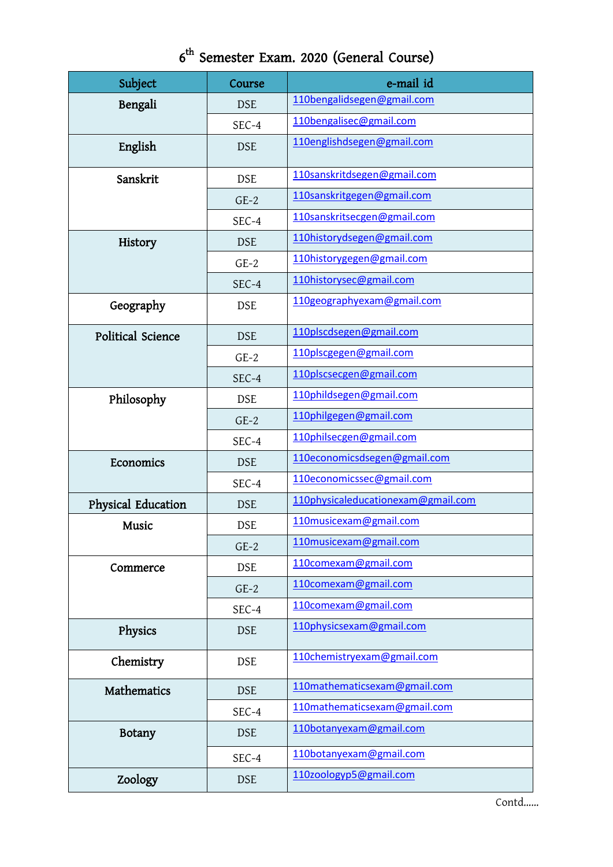|  | 6 <sup>th</sup> Semester Exam. 2020 (General Course) |  |  |  |  |
|--|------------------------------------------------------|--|--|--|--|
|--|------------------------------------------------------|--|--|--|--|

| Subject            | Course     | e-mail id                          |
|--------------------|------------|------------------------------------|
| Bengali            | <b>DSE</b> | 110bengalidsegen@gmail.com         |
|                    | SEC-4      | 110bengalisec@gmail.com            |
| English            | <b>DSE</b> | 110englishdsegen@gmail.com         |
| Sanskrit           | <b>DSE</b> | 110sanskritdsegen@gmail.com        |
|                    | $GE-2$     | 110sanskritgegen@gmail.com         |
|                    | SEC-4      | 110sanskritsecgen@gmail.com        |
| History            | <b>DSE</b> | 110historydsegen@gmail.com         |
|                    | $GE-2$     | 110historygegen@gmail.com          |
|                    | SEC-4      | 110historysec@gmail.com            |
| Geography          | <b>DSE</b> | 110geographyexam@gmail.com         |
| Political Science  | <b>DSE</b> | 110plscdsegen@gmail.com            |
|                    | $GE-2$     | 110plscgegen@gmail.com             |
|                    | SEC-4      | 110plscsecgen@gmail.com            |
| Philosophy         | <b>DSE</b> | 110phildsegen@gmail.com            |
|                    | $GE-2$     | 110philgegen@gmail.com             |
|                    | SEC-4      | 110philsecgen@gmail.com            |
| Economics          | <b>DSE</b> | 110economicsdsegen@gmail.com       |
|                    | SEC-4      | 110economicssec@gmail.com          |
| Physical Education | <b>DSE</b> | 110physicaleducationexam@gmail.com |
| Music              | <b>DSE</b> | 110musicexam@gmail.com             |
|                    | $GE-2$     | 110musicexam@gmail.com             |
| Commerce           | <b>DSE</b> | 110comexam@gmail.com               |
|                    | $GE-2$     | 110comexam@gmail.com               |
|                    | SEC-4      | 110comexam@gmail.com               |
| Physics            | <b>DSE</b> | 110physicsexam@gmail.com           |
| Chemistry          | <b>DSE</b> | 110chemistryexam@gmail.com         |
| <b>Mathematics</b> | <b>DSE</b> | 110mathematicsexam@gmail.com       |
|                    | SEC-4      | 110mathematicsexam@gmail.com       |
| <b>Botany</b>      | <b>DSE</b> | 110botanyexam@gmail.com            |
|                    | SEC-4      | 110botanyexam@gmail.com            |
| Zoology            | <b>DSE</b> | 110zoologyp5@gmail.com             |

Contd……